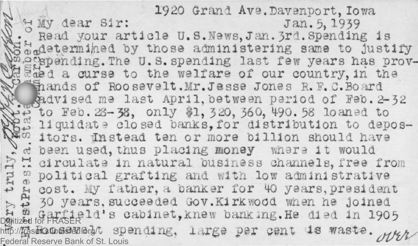1920 Grand Ave.Davenport, Iowa<br>Jan. 5, 1939  $4$  My dear Sir: . Read your article U.S. News, Jan. 3rd. Spending is **Phonontermined** by those administering same to justify Mogespending. The U.S. spending last few years has prova curse to the welfare of our country, in **the P** ands of Roosevelt.Mr. Jesse Jones R.F.C.Board dvi sed me last April, between **period** of **Feb. 3-32 Example 50** Feb. 28-38, only \$1, 320, 360, 490.58 loaned to w liquidate closed banks, for distribution to depos-<br><sup>*w*</sup> itors. Instead ten or more billion should have *ei* been used, thus placing money *Mizn* it would  $\ddot{r}$  dirculate in natural business channels, free from **H**  $^{\circ\circ}_{\alpha}$  political grafting and with low administrative<br> $\frac{1}{\alpha}$  a cost. My father, a banker for 40 years, presiden *u* cost. **My fattier, a banter** for *HO* **years,president**  $\uparrow$  30 years, succeeded Gov. Kirkwood when he joined  $F_{\text{R}}$  of  $F_{\text{R}}$  and  $F_{\text{R}}$  and  $F_{\text{R}}$  and  $F_{\text{R}}$  and  $F_{\text{R}}$  and  $F_{\text{R}}$  and  $F_{\text{R}}$  and  $F_{\text{R}}$  and  $F_{\text{R}}$  and  $F_{\text{R}}$  and  $F_{\text{R}}$  and  $F_{\text{R}}$  and  $F_{\text{R}}$  and  $F_{\text{R}}$  and  $F_{\text{R}}$  and http://*Hasekatodisfed.org/to spending, large per cent is* Federal Reserve Bank of St. Louis